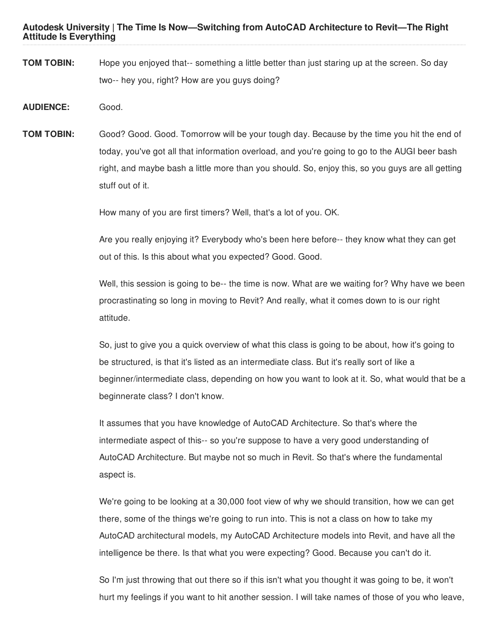**Autodesk University | The Time Is Now—Switching from AutoCAD Architecture to Revit—The Right Attitude Is Everything**

- **TOM TOBIN:** Hope you enjoyed that-- something a little better than just staring up at the screen. So day two-- hey you, right? How are you guys doing?
- **AUDIENCE:** Good.
- **TOM TOBIN:** Good? Good. Good. Tomorrow will be your tough day. Because by the time you hit the end of today, you've got all that information overload, and you're going to go to the AUGI beer bash right, and maybe bash a little more than you should. So, enjoy this, so you guys are all getting stuff out of it.

How many of you are first timers? Well, that's a lot of you. OK.

Are you really enjoying it? Everybody who's been here before-- they know what they can get out of this. Is this about what you expected? Good. Good.

Well, this session is going to be-- the time is now. What are we waiting for? Why have we been procrastinating so long in moving to Revit? And really, what it comes down to is our right attitude.

So, just to give you a quick overview of what this class is going to be about, how it's going to be structured, is that it's listed as an intermediate class. But it's really sort of like a beginner/intermediate class, depending on how you want to look at it. So, what would that be a beginnerate class? I don't know.

It assumes that you have knowledge of AutoCAD Architecture. So that's where the intermediate aspect of this-- so you're suppose to have a very good understanding of AutoCAD Architecture. But maybe not so much in Revit. So that's where the fundamental aspect is.

We're going to be looking at a 30,000 foot view of why we should transition, how we can get there, some of the things we're going to run into. This is not a class on how to take my AutoCAD architectural models, my AutoCAD Architecture models into Revit, and have all the intelligence be there. Is that what you were expecting? Good. Because you can't do it.

So I'm just throwing that out there so if this isn't what you thought it was going to be, it won't hurt my feelings if you want to hit another session. I will take names of those of you who leave,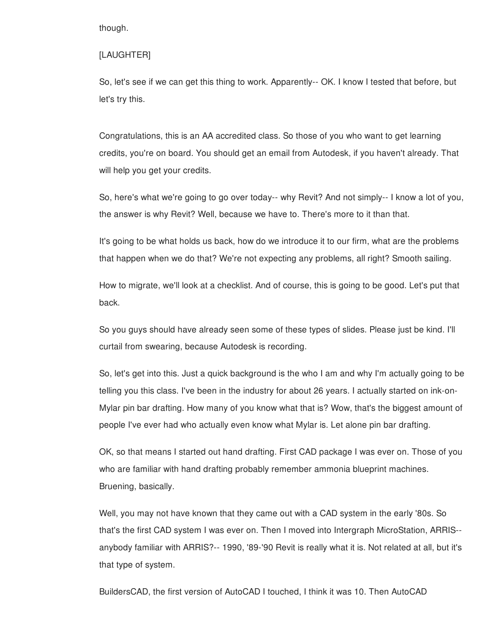though.

### [LAUGHTER]

So, let's see if we can get this thing to work. Apparently-- OK. I know I tested that before, but let's try this.

Congratulations, this is an AA accredited class. So those of you who want to get learning credits, you're on board. You should get an email from Autodesk, if you haven't already. That will help you get your credits.

So, here's what we're going to go over today-- why Revit? And not simply-- I know a lot of you, the answer is why Revit? Well, because we have to. There's more to it than that.

It's going to be what holds us back, how do we introduce it to our firm, what are the problems that happen when we do that? We're not expecting any problems, all right? Smooth sailing.

How to migrate, we'll look at a checklist. And of course, this is going to be good. Let's put that back.

So you guys should have already seen some of these types of slides. Please just be kind. I'll curtail from swearing, because Autodesk is recording.

So, let's get into this. Just a quick background is the who I am and why I'm actually going to be telling you this class. I've been in the industry for about 26 years. I actually started on ink-on-Mylar pin bar drafting. How many of you know what that is? Wow, that's the biggest amount of people I've ever had who actually even know what Mylar is. Let alone pin bar drafting.

OK, so that means I started out hand drafting. First CAD package I was ever on. Those of you who are familiar with hand drafting probably remember ammonia blueprint machines. Bruening, basically.

Well, you may not have known that they came out with a CAD system in the early '80s. So that's the first CAD system I was ever on. Then I moved into Intergraph MicroStation, ARRIS- anybody familiar with ARRIS?-- 1990, '89-'90 Revit is really what it is. Not related at all, but it's that type of system.

BuildersCAD, the first version of AutoCAD I touched, I think it was 10. Then AutoCAD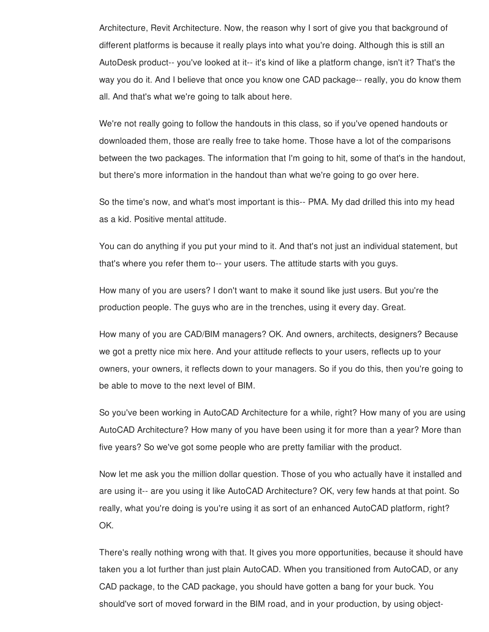Architecture, Revit Architecture. Now, the reason why I sort of give you that background of different platforms is because it really plays into what you're doing. Although this is still an AutoDesk product-- you've looked at it-- it's kind of like a platform change, isn't it? That's the way you do it. And I believe that once you know one CAD package-- really, you do know them all. And that's what we're going to talk about here.

We're not really going to follow the handouts in this class, so if you've opened handouts or downloaded them, those are really free to take home. Those have a lot of the comparisons between the two packages. The information that I'm going to hit, some of that's in the handout, but there's more information in the handout than what we're going to go over here.

So the time's now, and what's most important is this-- PMA. My dad drilled this into my head as a kid. Positive mental attitude.

You can do anything if you put your mind to it. And that's not just an individual statement, but that's where you refer them to-- your users. The attitude starts with you guys.

How many of you are users? I don't want to make it sound like just users. But you're the production people. The guys who are in the trenches, using it every day. Great.

How many of you are CAD/BIM managers? OK. And owners, architects, designers? Because we got a pretty nice mix here. And your attitude reflects to your users, reflects up to your owners, your owners, it reflects down to your managers. So if you do this, then you're going to be able to move to the next level of BIM.

So you've been working in AutoCAD Architecture for a while, right? How many of you are using AutoCAD Architecture? How many of you have been using it for more than a year? More than five years? So we've got some people who are pretty familiar with the product.

Now let me ask you the million dollar question. Those of you who actually have it installed and are using it-- are you using it like AutoCAD Architecture? OK, very few hands at that point. So really, what you're doing is you're using it as sort of an enhanced AutoCAD platform, right? OK.

There's really nothing wrong with that. It gives you more opportunities, because it should have taken you a lot further than just plain AutoCAD. When you transitioned from AutoCAD, or any CAD package, to the CAD package, you should have gotten a bang for your buck. You should've sort of moved forward in the BIM road, and in your production, by using object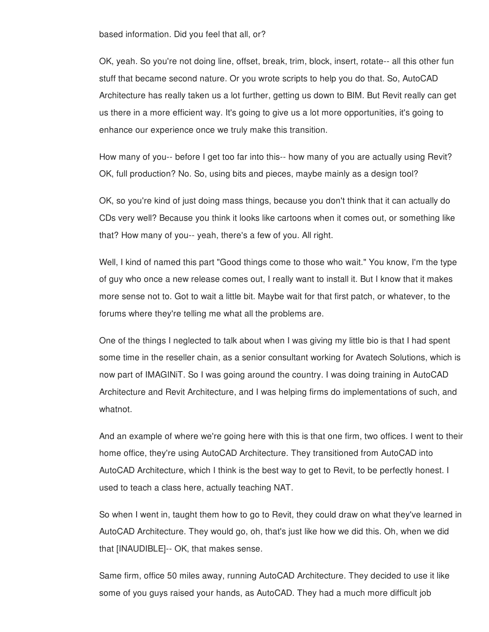based information. Did you feel that all, or?

OK, yeah. So you're not doing line, offset, break, trim, block, insert, rotate-- all this other fun stuff that became second nature. Or you wrote scripts to help you do that. So, AutoCAD Architecture has really taken us a lot further, getting us down to BIM. But Revit really can get us there in a more efficient way. It's going to give us a lot more opportunities, it's going to enhance our experience once we truly make this transition.

How many of you-- before I get too far into this-- how many of you are actually using Revit? OK, full production? No. So, using bits and pieces, maybe mainly as a design tool?

OK, so you're kind of just doing mass things, because you don't think that it can actually do CDs very well? Because you think it looks like cartoons when it comes out, or something like that? How many of you-- yeah, there's a few of you. All right.

Well, I kind of named this part "Good things come to those who wait." You know, I'm the type of guy who once a new release comes out, I really want to install it. But I know that it makes more sense not to. Got to wait a little bit. Maybe wait for that first patch, or whatever, to the forums where they're telling me what all the problems are.

One of the things I neglected to talk about when I was giving my little bio is that I had spent some time in the reseller chain, as a senior consultant working for Avatech Solutions, which is now part of IMAGINiT. So I was going around the country. I was doing training in AutoCAD Architecture and Revit Architecture, and I was helping firms do implementations of such, and whatnot.

And an example of where we're going here with this is that one firm, two offices. I went to their home office, they're using AutoCAD Architecture. They transitioned from AutoCAD into AutoCAD Architecture, which I think is the best way to get to Revit, to be perfectly honest. I used to teach a class here, actually teaching NAT.

So when I went in, taught them how to go to Revit, they could draw on what they've learned in AutoCAD Architecture. They would go, oh, that's just like how we did this. Oh, when we did that [INAUDIBLE]-- OK, that makes sense.

Same firm, office 50 miles away, running AutoCAD Architecture. They decided to use it like some of you guys raised your hands, as AutoCAD. They had a much more difficult job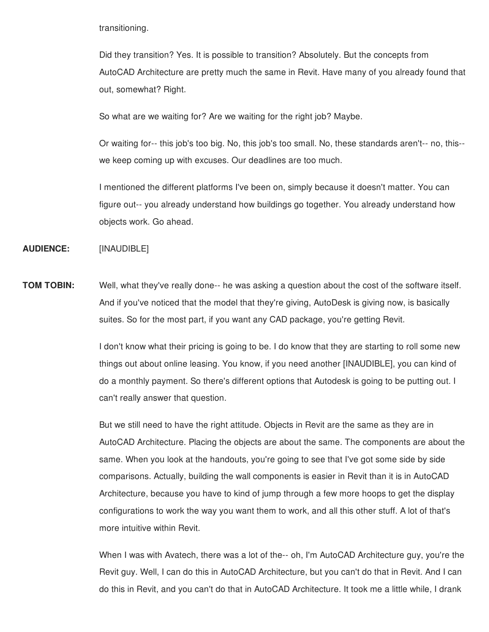transitioning.

Did they transition? Yes. It is possible to transition? Absolutely. But the concepts from AutoCAD Architecture are pretty much the same in Revit. Have many of you already found that out, somewhat? Right.

So what are we waiting for? Are we waiting for the right job? Maybe.

Or waiting for-- this job's too big. No, this job's too small. No, these standards aren't-- no, this- we keep coming up with excuses. Our deadlines are too much.

I mentioned the different platforms I've been on, simply because it doesn't matter. You can figure out-- you already understand how buildings go together. You already understand how objects work. Go ahead.

**AUDIENCE:** [INAUDIBLE]

**TOM TOBIN:** Well, what they've really done-- he was asking a question about the cost of the software itself. And if you've noticed that the model that they're giving, AutoDesk is giving now, is basically suites. So for the most part, if you want any CAD package, you're getting Revit.

> I don't know what their pricing is going to be. I do know that they are starting to roll some new things out about online leasing. You know, if you need another [INAUDIBLE], you can kind of do a monthly payment. So there's different options that Autodesk is going to be putting out. I can't really answer that question.

But we still need to have the right attitude. Objects in Revit are the same as they are in AutoCAD Architecture. Placing the objects are about the same. The components are about the same. When you look at the handouts, you're going to see that I've got some side by side comparisons. Actually, building the wall components is easier in Revit than it is in AutoCAD Architecture, because you have to kind of jump through a few more hoops to get the display configurations to work the way you want them to work, and all this other stuff. A lot of that's more intuitive within Revit.

When I was with Avatech, there was a lot of the-- oh, I'm AutoCAD Architecture guy, you're the Revit guy. Well, I can do this in AutoCAD Architecture, but you can't do that in Revit. And I can do this in Revit, and you can't do that in AutoCAD Architecture. It took me a little while, I drank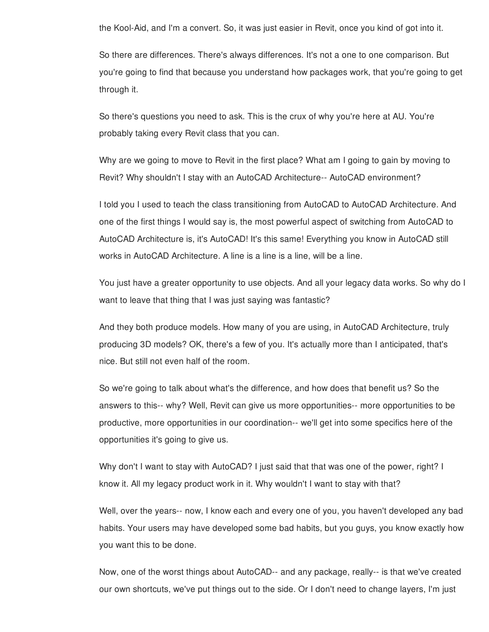the Kool-Aid, and I'm a convert. So, it was just easier in Revit, once you kind of got into it.

So there are differences. There's always differences. It's not a one to one comparison. But you're going to find that because you understand how packages work, that you're going to get through it.

So there's questions you need to ask. This is the crux of why you're here at AU. You're probably taking every Revit class that you can.

Why are we going to move to Revit in the first place? What am I going to gain by moving to Revit? Why shouldn't I stay with an AutoCAD Architecture-- AutoCAD environment?

I told you I used to teach the class transitioning from AutoCAD to AutoCAD Architecture. And one of the first things I would say is, the most powerful aspect of switching from AutoCAD to AutoCAD Architecture is, it's AutoCAD! It's this same! Everything you know in AutoCAD still works in AutoCAD Architecture. A line is a line is a line, will be a line.

You just have a greater opportunity to use objects. And all your legacy data works. So why do I want to leave that thing that I was just saying was fantastic?

And they both produce models. How many of you are using, in AutoCAD Architecture, truly producing 3D models? OK, there's a few of you. It's actually more than I anticipated, that's nice. But still not even half of the room.

So we're going to talk about what's the difference, and how does that benefit us? So the answers to this-- why? Well, Revit can give us more opportunities-- more opportunities to be productive, more opportunities in our coordination-- we'll get into some specifics here of the opportunities it's going to give us.

Why don't I want to stay with AutoCAD? I just said that that was one of the power, right? I know it. All my legacy product work in it. Why wouldn't I want to stay with that?

Well, over the years-- now, I know each and every one of you, you haven't developed any bad habits. Your users may have developed some bad habits, but you guys, you know exactly how you want this to be done.

Now, one of the worst things about AutoCAD-- and any package, really-- is that we've created our own shortcuts, we've put things out to the side. Or I don't need to change layers, I'm just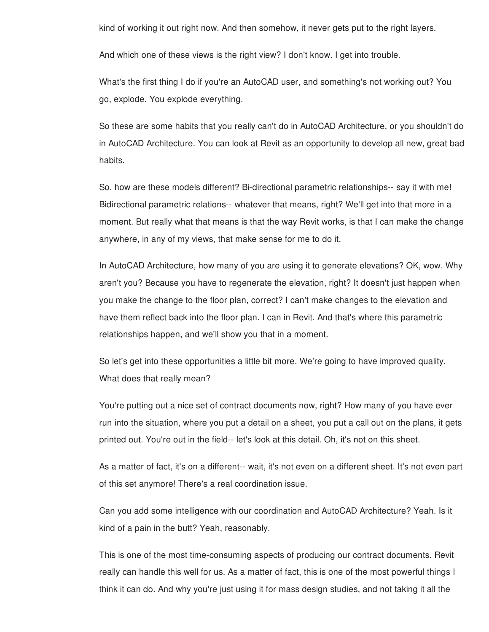kind of working it out right now. And then somehow, it never gets put to the right layers.

And which one of these views is the right view? I don't know. I get into trouble.

What's the first thing I do if you're an AutoCAD user, and something's not working out? You go, explode. You explode everything.

So these are some habits that you really can't do in AutoCAD Architecture, or you shouldn't do in AutoCAD Architecture. You can look at Revit as an opportunity to develop all new, great bad habits.

So, how are these models different? Bi-directional parametric relationships-- say it with me! Bidirectional parametric relations-- whatever that means, right? We'll get into that more in a moment. But really what that means is that the way Revit works, is that I can make the change anywhere, in any of my views, that make sense for me to do it.

In AutoCAD Architecture, how many of you are using it to generate elevations? OK, wow. Why aren't you? Because you have to regenerate the elevation, right? It doesn't just happen when you make the change to the floor plan, correct? I can't make changes to the elevation and have them reflect back into the floor plan. I can in Revit. And that's where this parametric relationships happen, and we'll show you that in a moment.

So let's get into these opportunities a little bit more. We're going to have improved quality. What does that really mean?

You're putting out a nice set of contract documents now, right? How many of you have ever run into the situation, where you put a detail on a sheet, you put a call out on the plans, it gets printed out. You're out in the field-- let's look at this detail. Oh, it's not on this sheet.

As a matter of fact, it's on a different-- wait, it's not even on a different sheet. It's not even part of this set anymore! There's a real coordination issue.

Can you add some intelligence with our coordination and AutoCAD Architecture? Yeah. Is it kind of a pain in the butt? Yeah, reasonably.

This is one of the most time-consuming aspects of producing our contract documents. Revit really can handle this well for us. As a matter of fact, this is one of the most powerful things I think it can do. And why you're just using it for mass design studies, and not taking it all the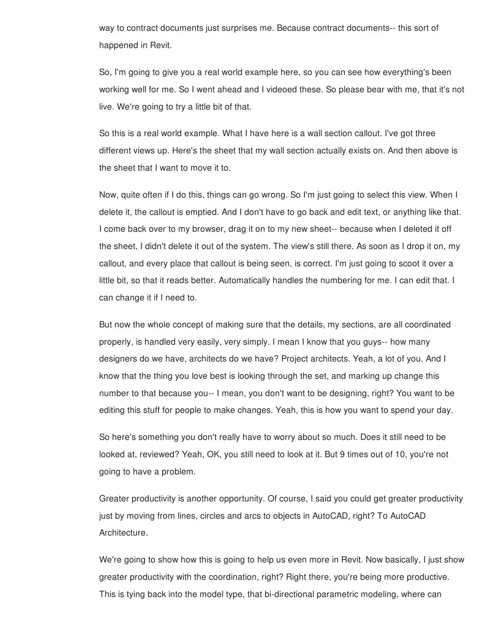way to contract documents just surprises me. Because contract documents-- this sort of happened in Revit.

So, I'm going to give you a real world example here, so you can see how everything's been working well for me. So I went ahead and I videoed these. So please bear with me, that it's not live. We're going to try a little bit of that.

So this is a real world example. What I have here is a wall section callout. I've got three different views up. Here's the sheet that my wall section actually exists on. And then above is the sheet that I want to move it to.

Now, quite often if I do this, things can go wrong. So I'm just going to select this view. When I delete it, the callout is emptied. And I don't have to go back and edit text, or anything like that. I come back over to my browser, drag it on to my new sheet-- because when I deleted it off the sheet, I didn't delete it out of the system. The view's still there. As soon as I drop it on, my callout, and every place that callout is being seen, is correct. I'm just going to scoot it over a little bit, so that it reads better. Automatically handles the numbering for me. I can edit that. I can change it if I need to.

But now the whole concept of making sure that the details, my sections, are all coordinated properly, is handled very easily, very simply. I mean I know that you guys-- how many designers do we have, architects do we have? Project architects. Yeah, a lot of you. And I know that the thing you love best is looking through the set, and marking up change this number to that because you-- I mean, you don't want to be designing, right? You want to be editing this stuff for people to make changes. Yeah, this is how you want to spend your day.

So here's something you don't really have to worry about so much. Does it still need to be looked at, reviewed? Yeah, OK, you still need to look at it. But 9 times out of 10, you're not going to have a problem.

Greater productivity is another opportunity. Of course, I said you could get greater productivity just by moving from lines, circles and arcs to objects in AutoCAD, right? To AutoCAD Architecture.

We're going to show how this is going to help us even more in Revit. Now basically, I just show greater productivity with the coordination, right? Right there, you're being more productive. This is tying back into the model type, that bi-directional parametric modeling, where can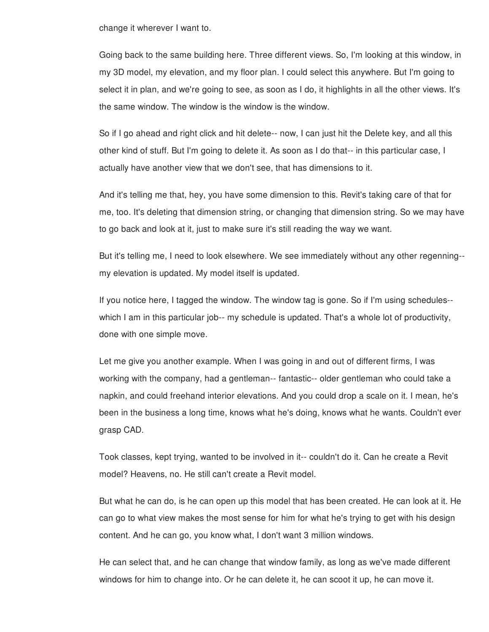change it wherever I want to.

Going back to the same building here. Three different views. So, I'm looking at this window, in my 3D model, my elevation, and my floor plan. I could select this anywhere. But I'm going to select it in plan, and we're going to see, as soon as I do, it highlights in all the other views. It's the same window. The window is the window is the window.

So if I go ahead and right click and hit delete-- now, I can just hit the Delete key, and all this other kind of stuff. But I'm going to delete it. As soon as I do that-- in this particular case, I actually have another view that we don't see, that has dimensions to it.

And it's telling me that, hey, you have some dimension to this. Revit's taking care of that for me, too. It's deleting that dimension string, or changing that dimension string. So we may have to go back and look at it, just to make sure it's still reading the way we want.

But it's telling me, I need to look elsewhere. We see immediately without any other regenning- my elevation is updated. My model itself is updated.

If you notice here, I tagged the window. The window tag is gone. So if I'm using schedules- which I am in this particular job-- my schedule is updated. That's a whole lot of productivity, done with one simple move.

Let me give you another example. When I was going in and out of different firms, I was working with the company, had a gentleman-- fantastic-- older gentleman who could take a napkin, and could freehand interior elevations. And you could drop a scale on it. I mean, he's been in the business a long time, knows what he's doing, knows what he wants. Couldn't ever grasp CAD.

Took classes, kept trying, wanted to be involved in it-- couldn't do it. Can he create a Revit model? Heavens, no. He still can't create a Revit model.

But what he can do, is he can open up this model that has been created. He can look at it. He can go to what view makes the most sense for him for what he's trying to get with his design content. And he can go, you know what, I don't want 3 million windows.

He can select that, and he can change that window family, as long as we've made different windows for him to change into. Or he can delete it, he can scoot it up, he can move it.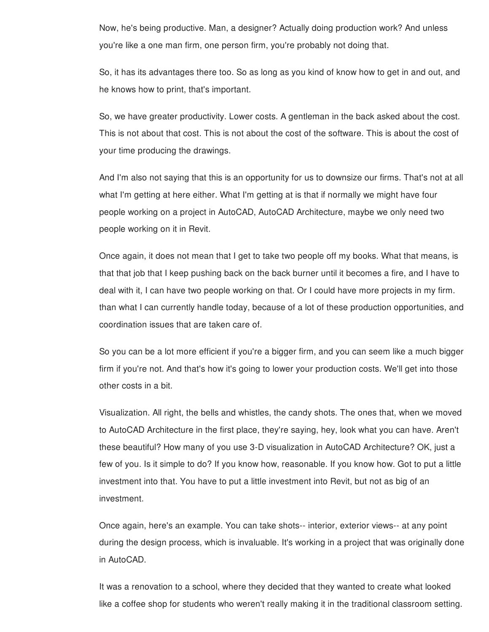Now, he's being productive. Man, a designer? Actually doing production work? And unless you're like a one man firm, one person firm, you're probably not doing that.

So, it has its advantages there too. So as long as you kind of know how to get in and out, and he knows how to print, that's important.

So, we have greater productivity. Lower costs. A gentleman in the back asked about the cost. This is not about that cost. This is not about the cost of the software. This is about the cost of your time producing the drawings.

And I'm also not saying that this is an opportunity for us to downsize our firms. That's not at all what I'm getting at here either. What I'm getting at is that if normally we might have four people working on a project in AutoCAD, AutoCAD Architecture, maybe we only need two people working on it in Revit.

Once again, it does not mean that I get to take two people off my books. What that means, is that that job that I keep pushing back on the back burner until it becomes a fire, and I have to deal with it, I can have two people working on that. Or I could have more projects in my firm. than what I can currently handle today, because of a lot of these production opportunities, and coordination issues that are taken care of.

So you can be a lot more efficient if you're a bigger firm, and you can seem like a much bigger firm if you're not. And that's how it's going to lower your production costs. We'll get into those other costs in a bit.

Visualization. All right, the bells and whistles, the candy shots. The ones that, when we moved to AutoCAD Architecture in the first place, they're saying, hey, look what you can have. Aren't these beautiful? How many of you use 3-D visualization in AutoCAD Architecture? OK, just a few of you. Is it simple to do? If you know how, reasonable. If you know how. Got to put a little investment into that. You have to put a little investment into Revit, but not as big of an investment.

Once again, here's an example. You can take shots-- interior, exterior views-- at any point during the design process, which is invaluable. It's working in a project that was originally done in AutoCAD.

It was a renovation to a school, where they decided that they wanted to create what looked like a coffee shop for students who weren't really making it in the traditional classroom setting.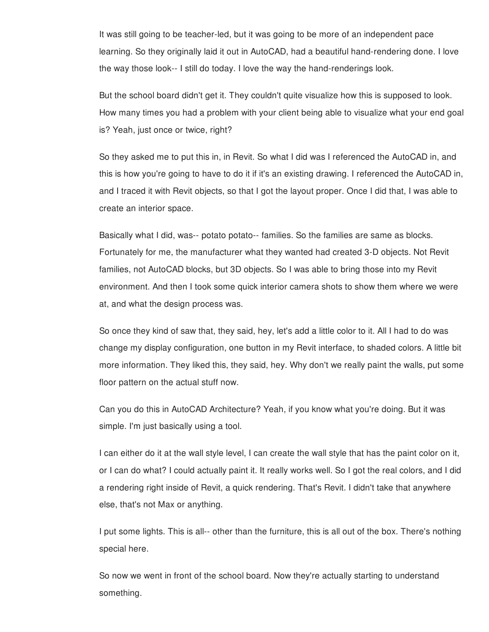It was still going to be teacher-led, but it was going to be more of an independent pace learning. So they originally laid it out in AutoCAD, had a beautiful hand-rendering done. I love the way those look-- I still do today. I love the way the hand-renderings look.

But the school board didn't get it. They couldn't quite visualize how this is supposed to look. How many times you had a problem with your client being able to visualize what your end goal is? Yeah, just once or twice, right?

So they asked me to put this in, in Revit. So what I did was I referenced the AutoCAD in, and this is how you're going to have to do it if it's an existing drawing. I referenced the AutoCAD in, and I traced it with Revit objects, so that I got the layout proper. Once I did that, I was able to create an interior space.

Basically what I did, was-- potato potato-- families. So the families are same as blocks. Fortunately for me, the manufacturer what they wanted had created 3-D objects. Not Revit families, not AutoCAD blocks, but 3D objects. So I was able to bring those into my Revit environment. And then I took some quick interior camera shots to show them where we were at, and what the design process was.

So once they kind of saw that, they said, hey, let's add a little color to it. All I had to do was change my display configuration, one button in my Revit interface, to shaded colors. A little bit more information. They liked this, they said, hey. Why don't we really paint the walls, put some floor pattern on the actual stuff now.

Can you do this in AutoCAD Architecture? Yeah, if you know what you're doing. But it was simple. I'm just basically using a tool.

I can either do it at the wall style level, I can create the wall style that has the paint color on it, or I can do what? I could actually paint it. It really works well. So I got the real colors, and I did a rendering right inside of Revit, a quick rendering. That's Revit. I didn't take that anywhere else, that's not Max or anything.

I put some lights. This is all-- other than the furniture, this is all out of the box. There's nothing special here.

So now we went in front of the school board. Now they're actually starting to understand something.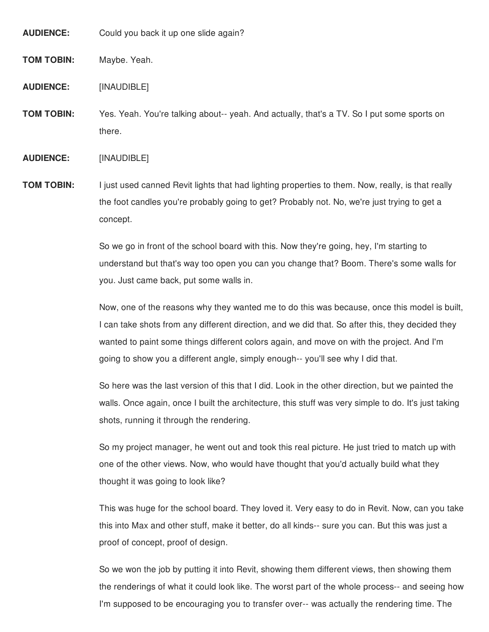**AUDIENCE:** Could you back it up one slide again?

**TOM TOBIN:** Maybe. Yeah.

**AUDIENCE:** [INAUDIBLE]

**TOM TOBIN:** Yes. Yeah. You're talking about-- yeah. And actually, that's a TV. So I put some sports on there.

**AUDIENCE:** [INAUDIBLE]

**TOM TOBIN:** I just used canned Revit lights that had lighting properties to them. Now, really, is that really the foot candles you're probably going to get? Probably not. No, we're just trying to get a concept.

> So we go in front of the school board with this. Now they're going, hey, I'm starting to understand but that's way too open you can you change that? Boom. There's some walls for you. Just came back, put some walls in.

Now, one of the reasons why they wanted me to do this was because, once this model is built, I can take shots from any different direction, and we did that. So after this, they decided they wanted to paint some things different colors again, and move on with the project. And I'm going to show you a different angle, simply enough-- you'll see why I did that.

So here was the last version of this that I did. Look in the other direction, but we painted the walls. Once again, once I built the architecture, this stuff was very simple to do. It's just taking shots, running it through the rendering.

So my project manager, he went out and took this real picture. He just tried to match up with one of the other views. Now, who would have thought that you'd actually build what they thought it was going to look like?

This was huge for the school board. They loved it. Very easy to do in Revit. Now, can you take this into Max and other stuff, make it better, do all kinds-- sure you can. But this was just a proof of concept, proof of design.

So we won the job by putting it into Revit, showing them different views, then showing them the renderings of what it could look like. The worst part of the whole process-- and seeing how I'm supposed to be encouraging you to transfer over-- was actually the rendering time. The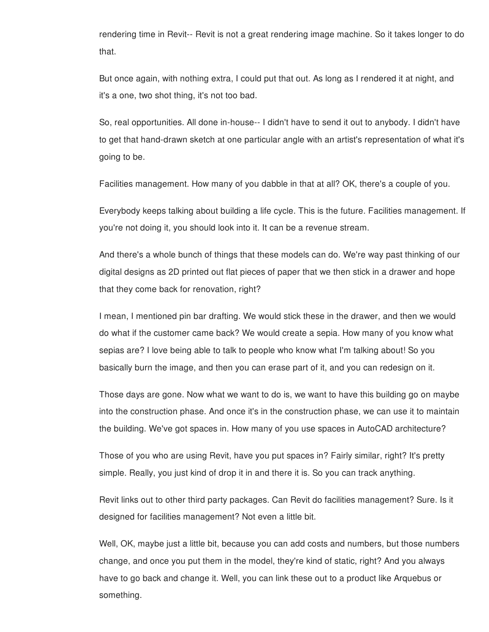rendering time in Revit-- Revit is not a great rendering image machine. So it takes longer to do that.

But once again, with nothing extra, I could put that out. As long as I rendered it at night, and it's a one, two shot thing, it's not too bad.

So, real opportunities. All done in-house-- I didn't have to send it out to anybody. I didn't have to get that hand-drawn sketch at one particular angle with an artist's representation of what it's going to be.

Facilities management. How many of you dabble in that at all? OK, there's a couple of you.

Everybody keeps talking about building a life cycle. This is the future. Facilities management. If you're not doing it, you should look into it. It can be a revenue stream.

And there's a whole bunch of things that these models can do. We're way past thinking of our digital designs as 2D printed out flat pieces of paper that we then stick in a drawer and hope that they come back for renovation, right?

I mean, I mentioned pin bar drafting. We would stick these in the drawer, and then we would do what if the customer came back? We would create a sepia. How many of you know what sepias are? I love being able to talk to people who know what I'm talking about! So you basically burn the image, and then you can erase part of it, and you can redesign on it.

Those days are gone. Now what we want to do is, we want to have this building go on maybe into the construction phase. And once it's in the construction phase, we can use it to maintain the building. We've got spaces in. How many of you use spaces in AutoCAD architecture?

Those of you who are using Revit, have you put spaces in? Fairly similar, right? It's pretty simple. Really, you just kind of drop it in and there it is. So you can track anything.

Revit links out to other third party packages. Can Revit do facilities management? Sure. Is it designed for facilities management? Not even a little bit.

Well, OK, maybe just a little bit, because you can add costs and numbers, but those numbers change, and once you put them in the model, they're kind of static, right? And you always have to go back and change it. Well, you can link these out to a product like Arquebus or something.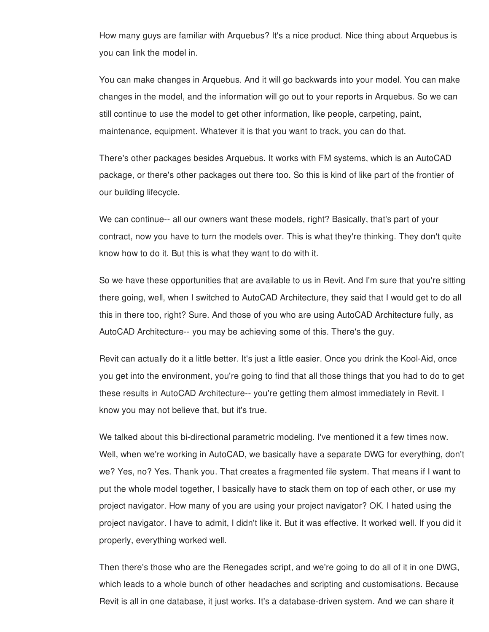How many guys are familiar with Arquebus? It's a nice product. Nice thing about Arquebus is you can link the model in.

You can make changes in Arquebus. And it will go backwards into your model. You can make changes in the model, and the information will go out to your reports in Arquebus. So we can still continue to use the model to get other information, like people, carpeting, paint, maintenance, equipment. Whatever it is that you want to track, you can do that.

There's other packages besides Arquebus. It works with FM systems, which is an AutoCAD package, or there's other packages out there too. So this is kind of like part of the frontier of our building lifecycle.

We can continue-- all our owners want these models, right? Basically, that's part of your contract, now you have to turn the models over. This is what they're thinking. They don't quite know how to do it. But this is what they want to do with it.

So we have these opportunities that are available to us in Revit. And I'm sure that you're sitting there going, well, when I switched to AutoCAD Architecture, they said that I would get to do all this in there too, right? Sure. And those of you who are using AutoCAD Architecture fully, as AutoCAD Architecture-- you may be achieving some of this. There's the guy.

Revit can actually do it a little better. It's just a little easier. Once you drink the Kool-Aid, once you get into the environment, you're going to find that all those things that you had to do to get these results in AutoCAD Architecture-- you're getting them almost immediately in Revit. I know you may not believe that, but it's true.

We talked about this bi-directional parametric modeling. I've mentioned it a few times now. Well, when we're working in AutoCAD, we basically have a separate DWG for everything, don't we? Yes, no? Yes. Thank you. That creates a fragmented file system. That means if I want to put the whole model together, I basically have to stack them on top of each other, or use my project navigator. How many of you are using your project navigator? OK. I hated using the project navigator. I have to admit, I didn't like it. But it was effective. It worked well. If you did it properly, everything worked well.

Then there's those who are the Renegades script, and we're going to do all of it in one DWG, which leads to a whole bunch of other headaches and scripting and customisations. Because Revit is all in one database, it just works. It's a database-driven system. And we can share it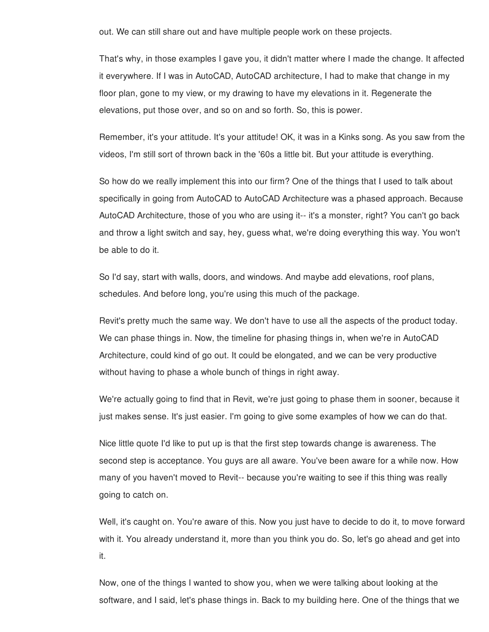out. We can still share out and have multiple people work on these projects.

That's why, in those examples I gave you, it didn't matter where I made the change. It affected it everywhere. If I was in AutoCAD, AutoCAD architecture, I had to make that change in my floor plan, gone to my view, or my drawing to have my elevations in it. Regenerate the elevations, put those over, and so on and so forth. So, this is power.

Remember, it's your attitude. It's your attitude! OK, it was in a Kinks song. As you saw from the videos, I'm still sort of thrown back in the '60s a little bit. But your attitude is everything.

So how do we really implement this into our firm? One of the things that I used to talk about specifically in going from AutoCAD to AutoCAD Architecture was a phased approach. Because AutoCAD Architecture, those of you who are using it-- it's a monster, right? You can't go back and throw a light switch and say, hey, guess what, we're doing everything this way. You won't be able to do it.

So I'd say, start with walls, doors, and windows. And maybe add elevations, roof plans, schedules. And before long, you're using this much of the package.

Revit's pretty much the same way. We don't have to use all the aspects of the product today. We can phase things in. Now, the timeline for phasing things in, when we're in AutoCAD Architecture, could kind of go out. It could be elongated, and we can be very productive without having to phase a whole bunch of things in right away.

We're actually going to find that in Revit, we're just going to phase them in sooner, because it just makes sense. It's just easier. I'm going to give some examples of how we can do that.

Nice little quote I'd like to put up is that the first step towards change is awareness. The second step is acceptance. You guys are all aware. You've been aware for a while now. How many of you haven't moved to Revit-- because you're waiting to see if this thing was really going to catch on.

Well, it's caught on. You're aware of this. Now you just have to decide to do it, to move forward with it. You already understand it, more than you think you do. So, let's go ahead and get into it.

Now, one of the things I wanted to show you, when we were talking about looking at the software, and I said, let's phase things in. Back to my building here. One of the things that we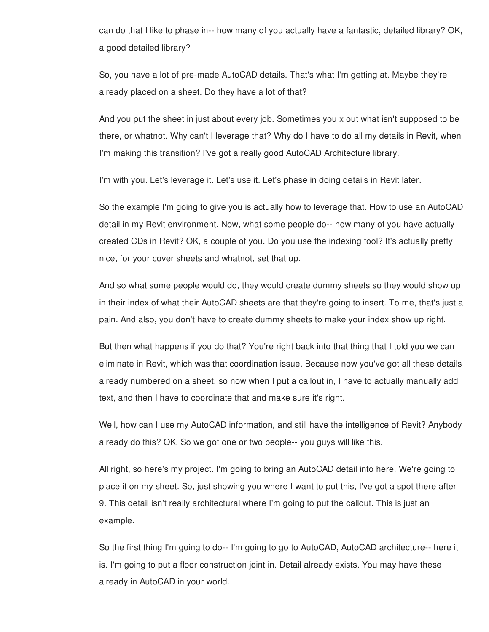can do that I like to phase in-- how many of you actually have a fantastic, detailed library? OK, a good detailed library?

So, you have a lot of pre-made AutoCAD details. That's what I'm getting at. Maybe they're already placed on a sheet. Do they have a lot of that?

And you put the sheet in just about every job. Sometimes you x out what isn't supposed to be there, or whatnot. Why can't I leverage that? Why do I have to do all my details in Revit, when I'm making this transition? I've got a really good AutoCAD Architecture library.

I'm with you. Let's leverage it. Let's use it. Let's phase in doing details in Revit later.

So the example I'm going to give you is actually how to leverage that. How to use an AutoCAD detail in my Revit environment. Now, what some people do-- how many of you have actually created CDs in Revit? OK, a couple of you. Do you use the indexing tool? It's actually pretty nice, for your cover sheets and whatnot, set that up.

And so what some people would do, they would create dummy sheets so they would show up in their index of what their AutoCAD sheets are that they're going to insert. To me, that's just a pain. And also, you don't have to create dummy sheets to make your index show up right.

But then what happens if you do that? You're right back into that thing that I told you we can eliminate in Revit, which was that coordination issue. Because now you've got all these details already numbered on a sheet, so now when I put a callout in, I have to actually manually add text, and then I have to coordinate that and make sure it's right.

Well, how can I use my AutoCAD information, and still have the intelligence of Revit? Anybody already do this? OK. So we got one or two people-- you guys will like this.

All right, so here's my project. I'm going to bring an AutoCAD detail into here. We're going to place it on my sheet. So, just showing you where I want to put this, I've got a spot there after 9. This detail isn't really architectural where I'm going to put the callout. This is just an example.

So the first thing I'm going to do-- I'm going to go to AutoCAD, AutoCAD architecture-- here it is. I'm going to put a floor construction joint in. Detail already exists. You may have these already in AutoCAD in your world.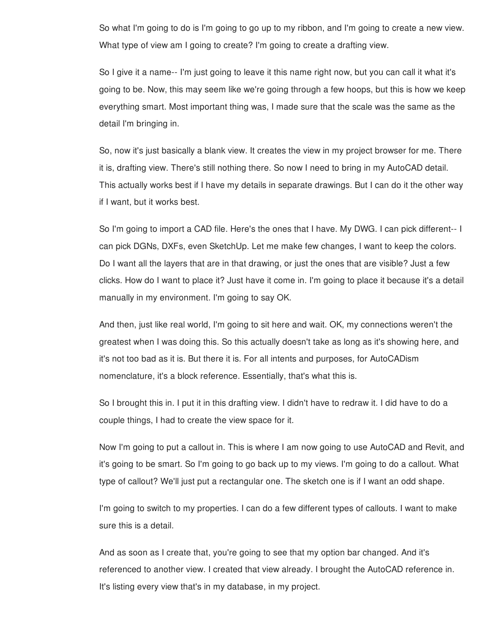So what I'm going to do is I'm going to go up to my ribbon, and I'm going to create a new view. What type of view am I going to create? I'm going to create a drafting view.

So I give it a name-- I'm just going to leave it this name right now, but you can call it what it's going to be. Now, this may seem like we're going through a few hoops, but this is how we keep everything smart. Most important thing was, I made sure that the scale was the same as the detail I'm bringing in.

So, now it's just basically a blank view. It creates the view in my project browser for me. There it is, drafting view. There's still nothing there. So now I need to bring in my AutoCAD detail. This actually works best if I have my details in separate drawings. But I can do it the other way if I want, but it works best.

So I'm going to import a CAD file. Here's the ones that I have. My DWG. I can pick different-- I can pick DGNs, DXFs, even SketchUp. Let me make few changes, I want to keep the colors. Do I want all the layers that are in that drawing, or just the ones that are visible? Just a few clicks. How do I want to place it? Just have it come in. I'm going to place it because it's a detail manually in my environment. I'm going to say OK.

And then, just like real world, I'm going to sit here and wait. OK, my connections weren't the greatest when I was doing this. So this actually doesn't take as long as it's showing here, and it's not too bad as it is. But there it is. For all intents and purposes, for AutoCADism nomenclature, it's a block reference. Essentially, that's what this is.

So I brought this in. I put it in this drafting view. I didn't have to redraw it. I did have to do a couple things, I had to create the view space for it.

Now I'm going to put a callout in. This is where I am now going to use AutoCAD and Revit, and it's going to be smart. So I'm going to go back up to my views. I'm going to do a callout. What type of callout? We'll just put a rectangular one. The sketch one is if I want an odd shape.

I'm going to switch to my properties. I can do a few different types of callouts. I want to make sure this is a detail.

And as soon as I create that, you're going to see that my option bar changed. And it's referenced to another view. I created that view already. I brought the AutoCAD reference in. It's listing every view that's in my database, in my project.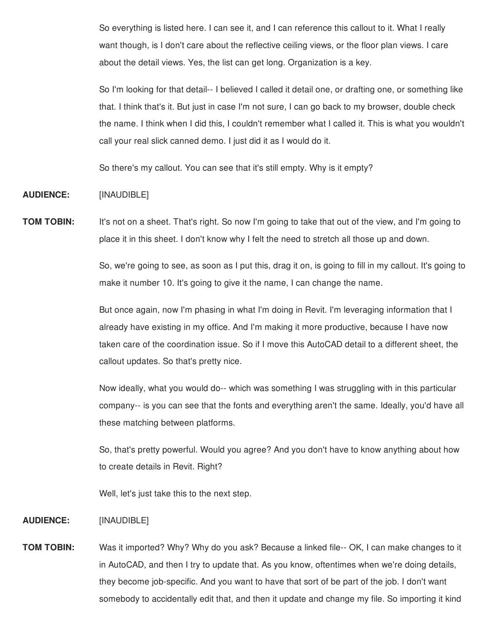So everything is listed here. I can see it, and I can reference this callout to it. What I really want though, is I don't care about the reflective ceiling views, or the floor plan views. I care about the detail views. Yes, the list can get long. Organization is a key.

So I'm looking for that detail-- I believed I called it detail one, or drafting one, or something like that. I think that's it. But just in case I'm not sure, I can go back to my browser, double check the name. I think when I did this, I couldn't remember what I called it. This is what you wouldn't call your real slick canned demo. I just did it as I would do it.

So there's my callout. You can see that it's still empty. Why is it empty?

# **AUDIENCE:** [INAUDIBLE]

**TOM TOBIN:** It's not on a sheet. That's right. So now I'm going to take that out of the view, and I'm going to place it in this sheet. I don't know why I felt the need to stretch all those up and down.

> So, we're going to see, as soon as I put this, drag it on, is going to fill in my callout. It's going to make it number 10. It's going to give it the name, I can change the name.

But once again, now I'm phasing in what I'm doing in Revit. I'm leveraging information that I already have existing in my office. And I'm making it more productive, because I have now taken care of the coordination issue. So if I move this AutoCAD detail to a different sheet, the callout updates. So that's pretty nice.

Now ideally, what you would do-- which was something I was struggling with in this particular company-- is you can see that the fonts and everything aren't the same. Ideally, you'd have all these matching between platforms.

So, that's pretty powerful. Would you agree? And you don't have to know anything about how to create details in Revit. Right?

Well, let's just take this to the next step.

#### **AUDIENCE:** [INAUDIBLE]

**TOM TOBIN:** Was it imported? Why? Why do you ask? Because a linked file-- OK, I can make changes to it in AutoCAD, and then I try to update that. As you know, oftentimes when we're doing details, they become job-specific. And you want to have that sort of be part of the job. I don't want somebody to accidentally edit that, and then it update and change my file. So importing it kind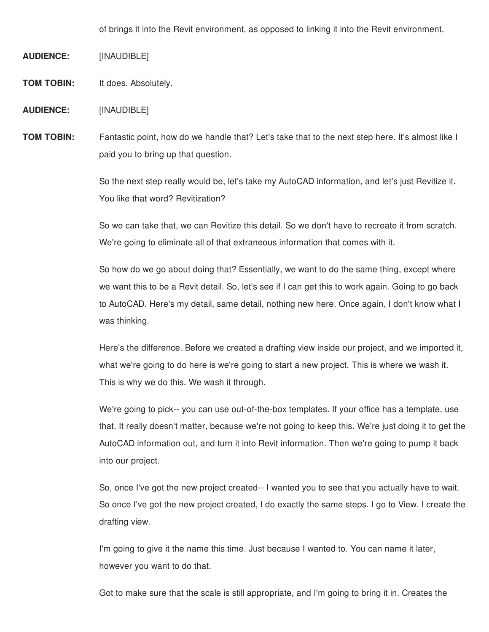of brings it into the Revit environment, as opposed to linking it into the Revit environment.

**AUDIENCE:** [INAUDIBLE]

**TOM TOBIN:** It does. Absolutely.

**AUDIENCE:** [INAUDIBLE]

**TOM TOBIN:** Fantastic point, how do we handle that? Let's take that to the next step here. It's almost like I paid you to bring up that question.

> So the next step really would be, let's take my AutoCAD information, and let's just Revitize it. You like that word? Revitization?

> So we can take that, we can Revitize this detail. So we don't have to recreate it from scratch. We're going to eliminate all of that extraneous information that comes with it.

> So how do we go about doing that? Essentially, we want to do the same thing, except where we want this to be a Revit detail. So, let's see if I can get this to work again. Going to go back to AutoCAD. Here's my detail, same detail, nothing new here. Once again, I don't know what I was thinking.

> Here's the difference. Before we created a drafting view inside our project, and we imported it, what we're going to do here is we're going to start a new project. This is where we wash it. This is why we do this. We wash it through.

> We're going to pick-- you can use out-of-the-box templates. If your office has a template, use that. It really doesn't matter, because we're not going to keep this. We're just doing it to get the AutoCAD information out, and turn it into Revit information. Then we're going to pump it back into our project.

> So, once I've got the new project created-- I wanted you to see that you actually have to wait. So once I've got the new project created, I do exactly the same steps. I go to View. I create the drafting view.

I'm going to give it the name this time. Just because I wanted to. You can name it later, however you want to do that.

Got to make sure that the scale is still appropriate, and I'm going to bring it in. Creates the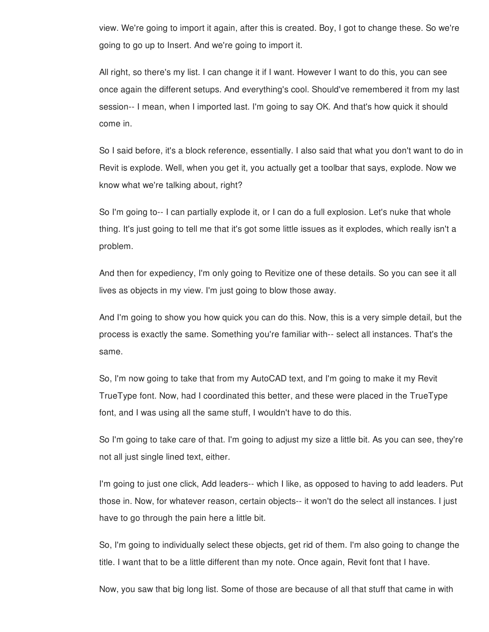view. We're going to import it again, after this is created. Boy, I got to change these. So we're going to go up to Insert. And we're going to import it.

All right, so there's my list. I can change it if I want. However I want to do this, you can see once again the different setups. And everything's cool. Should've remembered it from my last session-- I mean, when I imported last. I'm going to say OK. And that's how quick it should come in.

So I said before, it's a block reference, essentially. I also said that what you don't want to do in Revit is explode. Well, when you get it, you actually get a toolbar that says, explode. Now we know what we're talking about, right?

So I'm going to-- I can partially explode it, or I can do a full explosion. Let's nuke that whole thing. It's just going to tell me that it's got some little issues as it explodes, which really isn't a problem.

And then for expediency, I'm only going to Revitize one of these details. So you can see it all lives as objects in my view. I'm just going to blow those away.

And I'm going to show you how quick you can do this. Now, this is a very simple detail, but the process is exactly the same. Something you're familiar with-- select all instances. That's the same.

So, I'm now going to take that from my AutoCAD text, and I'm going to make it my Revit TrueType font. Now, had I coordinated this better, and these were placed in the TrueType font, and I was using all the same stuff, I wouldn't have to do this.

So I'm going to take care of that. I'm going to adjust my size a little bit. As you can see, they're not all just single lined text, either.

I'm going to just one click, Add leaders-- which I like, as opposed to having to add leaders. Put those in. Now, for whatever reason, certain objects-- it won't do the select all instances. I just have to go through the pain here a little bit.

So, I'm going to individually select these objects, get rid of them. I'm also going to change the title. I want that to be a little different than my note. Once again, Revit font that I have.

Now, you saw that big long list. Some of those are because of all that stuff that came in with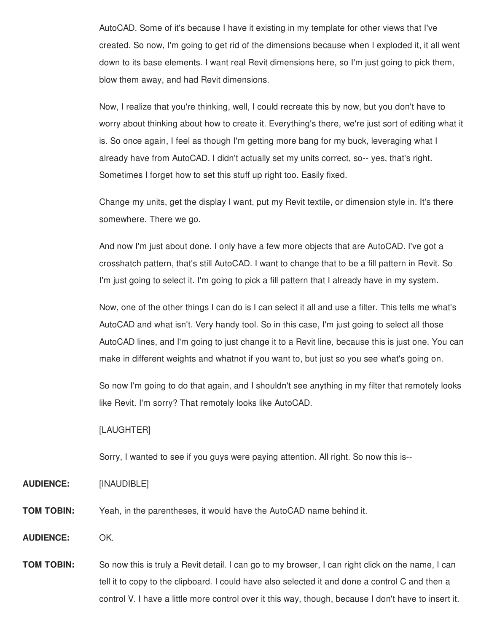AutoCAD. Some of it's because I have it existing in my template for other views that I've created. So now, I'm going to get rid of the dimensions because when I exploded it, it all went down to its base elements. I want real Revit dimensions here, so I'm just going to pick them, blow them away, and had Revit dimensions.

Now, I realize that you're thinking, well, I could recreate this by now, but you don't have to worry about thinking about how to create it. Everything's there, we're just sort of editing what it is. So once again, I feel as though I'm getting more bang for my buck, leveraging what I already have from AutoCAD. I didn't actually set my units correct, so-- yes, that's right. Sometimes I forget how to set this stuff up right too. Easily fixed.

Change my units, get the display I want, put my Revit textile, or dimension style in. It's there somewhere. There we go.

And now I'm just about done. I only have a few more objects that are AutoCAD. I've got a crosshatch pattern, that's still AutoCAD. I want to change that to be a fill pattern in Revit. So I'm just going to select it. I'm going to pick a fill pattern that I already have in my system.

Now, one of the other things I can do is I can select it all and use a filter. This tells me what's AutoCAD and what isn't. Very handy tool. So in this case, I'm just going to select all those AutoCAD lines, and I'm going to just change it to a Revit line, because this is just one. You can make in different weights and whatnot if you want to, but just so you see what's going on.

So now I'm going to do that again, and I shouldn't see anything in my filter that remotely looks like Revit. I'm sorry? That remotely looks like AutoCAD.

### [LAUGHTER]

Sorry, I wanted to see if you guys were paying attention. All right. So now this is--

- **AUDIENCE:** [INAUDIBLE]
- **TOM TOBIN:** Yeah, in the parentheses, it would have the AutoCAD name behind it.
- **AUDIENCE:** OK.

**TOM TOBIN:** So now this is truly a Revit detail. I can go to my browser, I can right click on the name, I can tell it to copy to the clipboard. I could have also selected it and done a control C and then a control V. I have a little more control over it this way, though, because I don't have to insert it.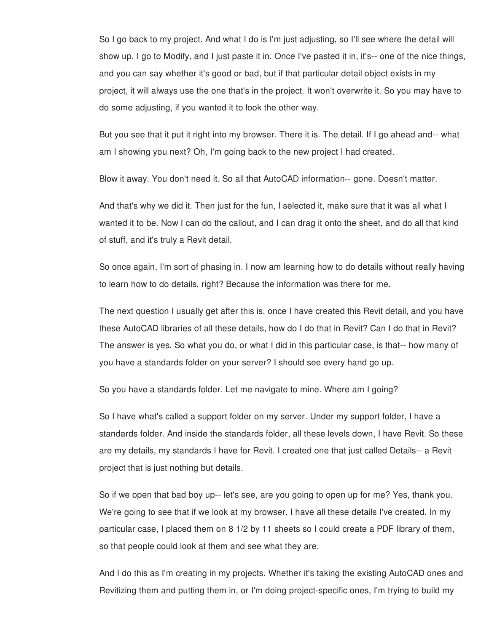So I go back to my project. And what I do is I'm just adjusting, so I'll see where the detail will show up. I go to Modify, and I just paste it in. Once I've pasted it in, it's-- one of the nice things, and you can say whether it's good or bad, but if that particular detail object exists in my project, it will always use the one that's in the project. It won't overwrite it. So you may have to do some adjusting, if you wanted it to look the other way.

But you see that it put it right into my browser. There it is. The detail. If I go ahead and-- what am I showing you next? Oh, I'm going back to the new project I had created.

Blow it away. You don't need it. So all that AutoCAD information-- gone. Doesn't matter.

And that's why we did it. Then just for the fun, I selected it, make sure that it was all what I wanted it to be. Now I can do the callout, and I can drag it onto the sheet, and do all that kind of stuff, and it's truly a Revit detail.

So once again, I'm sort of phasing in. I now am learning how to do details without really having to learn how to do details, right? Because the information was there for me.

The next question I usually get after this is, once I have created this Revit detail, and you have these AutoCAD libraries of all these details, how do I do that in Revit? Can I do that in Revit? The answer is yes. So what you do, or what I did in this particular case, is that-- how many of you have a standards folder on your server? I should see every hand go up.

So you have a standards folder. Let me navigate to mine. Where am I going?

So I have what's called a support folder on my server. Under my support folder, I have a standards folder. And inside the standards folder, all these levels down, I have Revit. So these are my details, my standards I have for Revit. I created one that just called Details-- a Revit project that is just nothing but details.

So if we open that bad boy up-- let's see, are you going to open up for me? Yes, thank you. We're going to see that if we look at my browser, I have all these details I've created. In my particular case, I placed them on 8 1/2 by 11 sheets so I could create a PDF library of them, so that people could look at them and see what they are.

And I do this as I'm creating in my projects. Whether it's taking the existing AutoCAD ones and Revitizing them and putting them in, or I'm doing project-specific ones, I'm trying to build my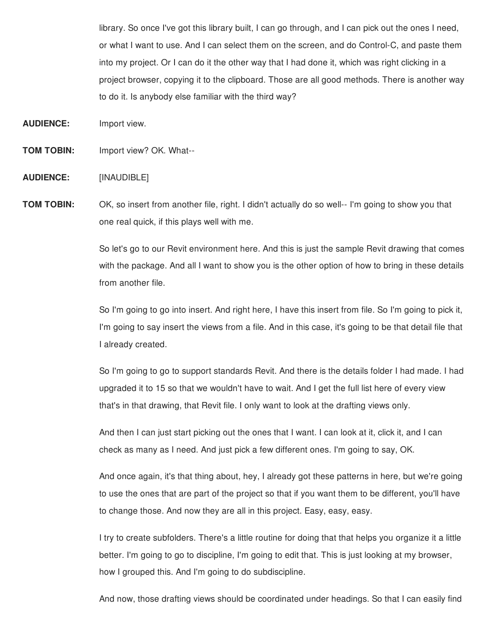library. So once I've got this library built, I can go through, and I can pick out the ones I need, or what I want to use. And I can select them on the screen, and do Control-C, and paste them into my project. Or I can do it the other way that I had done it, which was right clicking in a project browser, copying it to the clipboard. Those are all good methods. There is another way to do it. Is anybody else familiar with the third way?

**AUDIENCE:** Import view.

**TOM TOBIN:** Import view? OK. What--

**AUDIENCE:** [INAUDIBLE]

**TOM TOBIN:** OK, so insert from another file, right. I didn't actually do so well-- I'm going to show you that one real quick, if this plays well with me.

> So let's go to our Revit environment here. And this is just the sample Revit drawing that comes with the package. And all I want to show you is the other option of how to bring in these details from another file.

> So I'm going to go into insert. And right here, I have this insert from file. So I'm going to pick it, I'm going to say insert the views from a file. And in this case, it's going to be that detail file that I already created.

> So I'm going to go to support standards Revit. And there is the details folder I had made. I had upgraded it to 15 so that we wouldn't have to wait. And I get the full list here of every view that's in that drawing, that Revit file. I only want to look at the drafting views only.

And then I can just start picking out the ones that I want. I can look at it, click it, and I can check as many as I need. And just pick a few different ones. I'm going to say, OK.

And once again, it's that thing about, hey, I already got these patterns in here, but we're going to use the ones that are part of the project so that if you want them to be different, you'll have to change those. And now they are all in this project. Easy, easy, easy.

I try to create subfolders. There's a little routine for doing that that helps you organize it a little better. I'm going to go to discipline, I'm going to edit that. This is just looking at my browser, how I grouped this. And I'm going to do subdiscipline.

And now, those drafting views should be coordinated under headings. So that I can easily find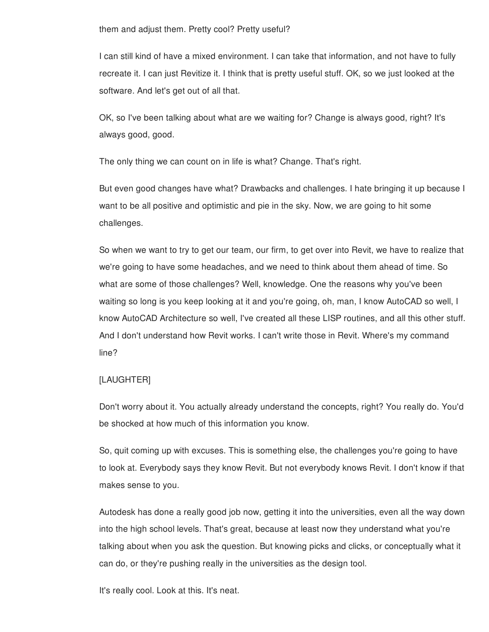them and adjust them. Pretty cool? Pretty useful?

I can still kind of have a mixed environment. I can take that information, and not have to fully recreate it. I can just Revitize it. I think that is pretty useful stuff. OK, so we just looked at the software. And let's get out of all that.

OK, so I've been talking about what are we waiting for? Change is always good, right? It's always good, good.

The only thing we can count on in life is what? Change. That's right.

But even good changes have what? Drawbacks and challenges. I hate bringing it up because I want to be all positive and optimistic and pie in the sky. Now, we are going to hit some challenges.

So when we want to try to get our team, our firm, to get over into Revit, we have to realize that we're going to have some headaches, and we need to think about them ahead of time. So what are some of those challenges? Well, knowledge. One the reasons why you've been waiting so long is you keep looking at it and you're going, oh, man, I know AutoCAD so well, I know AutoCAD Architecture so well, I've created all these LISP routines, and all this other stuff. And I don't understand how Revit works. I can't write those in Revit. Where's my command line?

# [LAUGHTER]

Don't worry about it. You actually already understand the concepts, right? You really do. You'd be shocked at how much of this information you know.

So, quit coming up with excuses. This is something else, the challenges you're going to have to look at. Everybody says they know Revit. But not everybody knows Revit. I don't know if that makes sense to you.

Autodesk has done a really good job now, getting it into the universities, even all the way down into the high school levels. That's great, because at least now they understand what you're talking about when you ask the question. But knowing picks and clicks, or conceptually what it can do, or they're pushing really in the universities as the design tool.

It's really cool. Look at this. It's neat.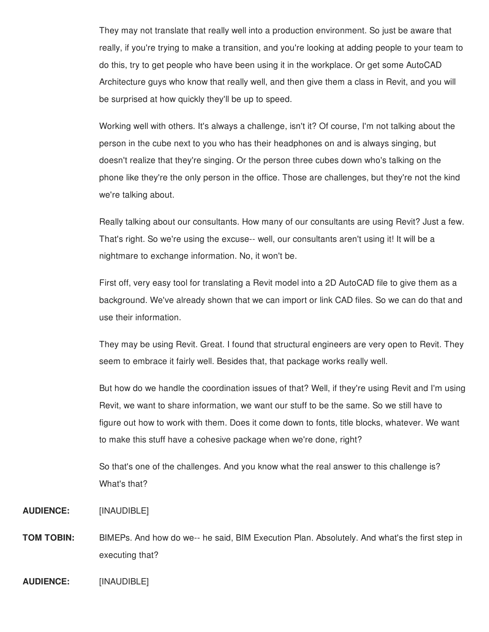They may not translate that really well into a production environment. So just be aware that really, if you're trying to make a transition, and you're looking at adding people to your team to do this, try to get people who have been using it in the workplace. Or get some AutoCAD Architecture guys who know that really well, and then give them a class in Revit, and you will be surprised at how quickly they'll be up to speed.

Working well with others. It's always a challenge, isn't it? Of course, I'm not talking about the person in the cube next to you who has their headphones on and is always singing, but doesn't realize that they're singing. Or the person three cubes down who's talking on the phone like they're the only person in the office. Those are challenges, but they're not the kind we're talking about.

Really talking about our consultants. How many of our consultants are using Revit? Just a few. That's right. So we're using the excuse-- well, our consultants aren't using it! It will be a nightmare to exchange information. No, it won't be.

First off, very easy tool for translating a Revit model into a 2D AutoCAD file to give them as a background. We've already shown that we can import or link CAD files. So we can do that and use their information.

They may be using Revit. Great. I found that structural engineers are very open to Revit. They seem to embrace it fairly well. Besides that, that package works really well.

But how do we handle the coordination issues of that? Well, if they're using Revit and I'm using Revit, we want to share information, we want our stuff to be the same. So we still have to figure out how to work with them. Does it come down to fonts, title blocks, whatever. We want to make this stuff have a cohesive package when we're done, right?

So that's one of the challenges. And you know what the real answer to this challenge is? What's that?

- **AUDIENCE:** [INAUDIBLE]
- **TOM TOBIN:** BIMEPs. And how do we-- he said, BIM Execution Plan. Absolutely. And what's the first step in executing that?
- **AUDIENCE:** [INAUDIBLE]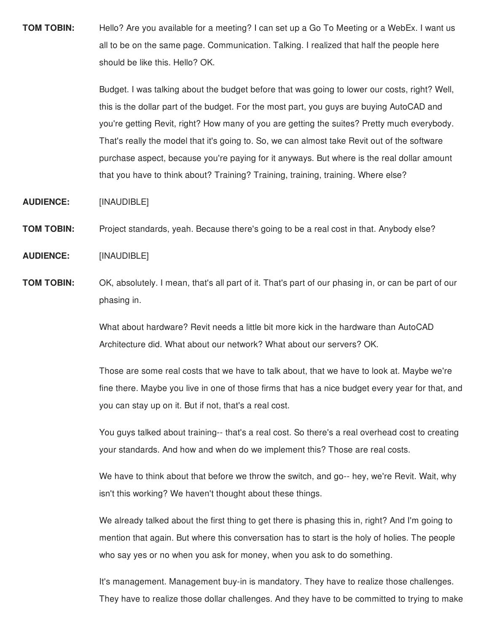**TOM TOBIN:** Hello? Are you available for a meeting? I can set up a Go To Meeting or a WebEx. I want us all to be on the same page. Communication. Talking. I realized that half the people here should be like this. Hello? OK.

> Budget. I was talking about the budget before that was going to lower our costs, right? Well, this is the dollar part of the budget. For the most part, you guys are buying AutoCAD and you're getting Revit, right? How many of you are getting the suites? Pretty much everybody. That's really the model that it's going to. So, we can almost take Revit out of the software purchase aspect, because you're paying for it anyways. But where is the real dollar amount that you have to think about? Training? Training, training, training. Where else?

**AUDIENCE:** [INAUDIBLE]

**TOM TOBIN:** Project standards, yeah. Because there's going to be a real cost in that. Anybody else?

**AUDIENCE:** [INAUDIBLE]

**TOM TOBIN:** OK, absolutely. I mean, that's all part of it. That's part of our phasing in, or can be part of our phasing in.

> What about hardware? Revit needs a little bit more kick in the hardware than AutoCAD Architecture did. What about our network? What about our servers? OK.

Those are some real costs that we have to talk about, that we have to look at. Maybe we're fine there. Maybe you live in one of those firms that has a nice budget every year for that, and you can stay up on it. But if not, that's a real cost.

You guys talked about training-- that's a real cost. So there's a real overhead cost to creating your standards. And how and when do we implement this? Those are real costs.

We have to think about that before we throw the switch, and go-- hey, we're Revit. Wait, why isn't this working? We haven't thought about these things.

We already talked about the first thing to get there is phasing this in, right? And I'm going to mention that again. But where this conversation has to start is the holy of holies. The people who say yes or no when you ask for money, when you ask to do something.

It's management. Management buy-in is mandatory. They have to realize those challenges. They have to realize those dollar challenges. And they have to be committed to trying to make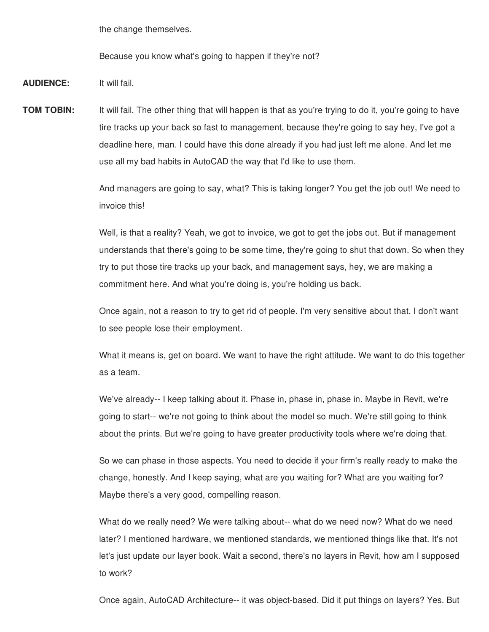the change themselves.

Because you know what's going to happen if they're not?

**AUDIENCE:** It will fail.

**TOM TOBIN:** It will fail. The other thing that will happen is that as you're trying to do it, you're going to have tire tracks up your back so fast to management, because they're going to say hey, I've got a deadline here, man. I could have this done already if you had just left me alone. And let me use all my bad habits in AutoCAD the way that I'd like to use them.

> And managers are going to say, what? This is taking longer? You get the job out! We need to invoice this!

Well, is that a reality? Yeah, we got to invoice, we got to get the jobs out. But if management understands that there's going to be some time, they're going to shut that down. So when they try to put those tire tracks up your back, and management says, hey, we are making a commitment here. And what you're doing is, you're holding us back.

Once again, not a reason to try to get rid of people. I'm very sensitive about that. I don't want to see people lose their employment.

What it means is, get on board. We want to have the right attitude. We want to do this together as a team.

We've already-- I keep talking about it. Phase in, phase in, phase in. Maybe in Revit, we're going to start-- we're not going to think about the model so much. We're still going to think about the prints. But we're going to have greater productivity tools where we're doing that.

So we can phase in those aspects. You need to decide if your firm's really ready to make the change, honestly. And I keep saying, what are you waiting for? What are you waiting for? Maybe there's a very good, compelling reason.

What do we really need? We were talking about-- what do we need now? What do we need later? I mentioned hardware, we mentioned standards, we mentioned things like that. It's not let's just update our layer book. Wait a second, there's no layers in Revit, how am I supposed to work?

Once again, AutoCAD Architecture-- it was object-based. Did it put things on layers? Yes. But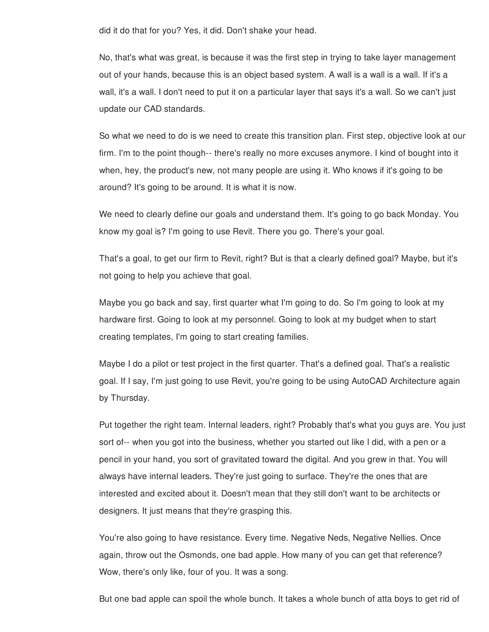did it do that for you? Yes, it did. Don't shake your head.

No, that's what was great, is because it was the first step in trying to take layer management out of your hands, because this is an object based system. A wall is a wall is a wall. If it's a wall, it's a wall. I don't need to put it on a particular layer that says it's a wall. So we can't just update our CAD standards.

So what we need to do is we need to create this transition plan. First step, objective look at our firm. I'm to the point though-- there's really no more excuses anymore. I kind of bought into it when, hey, the product's new, not many people are using it. Who knows if it's going to be around? It's going to be around. It is what it is now.

We need to clearly define our goals and understand them. It's going to go back Monday. You know my goal is? I'm going to use Revit. There you go. There's your goal.

That's a goal, to get our firm to Revit, right? But is that a clearly defined goal? Maybe, but it's not going to help you achieve that goal.

Maybe you go back and say, first quarter what I'm going to do. So I'm going to look at my hardware first. Going to look at my personnel. Going to look at my budget when to start creating templates, I'm going to start creating families.

Maybe I do a pilot or test project in the first quarter. That's a defined goal. That's a realistic goal. If I say, I'm just going to use Revit, you're going to be using AutoCAD Architecture again by Thursday.

Put together the right team. Internal leaders, right? Probably that's what you guys are. You just sort of-- when you got into the business, whether you started out like I did, with a pen or a pencil in your hand, you sort of gravitated toward the digital. And you grew in that. You will always have internal leaders. They're just going to surface. They're the ones that are interested and excited about it. Doesn't mean that they still don't want to be architects or designers. It just means that they're grasping this.

You're also going to have resistance. Every time. Negative Neds, Negative Nellies. Once again, throw out the Osmonds, one bad apple. How many of you can get that reference? Wow, there's only like, four of you. It was a song.

But one bad apple can spoil the whole bunch. It takes a whole bunch of atta boys to get rid of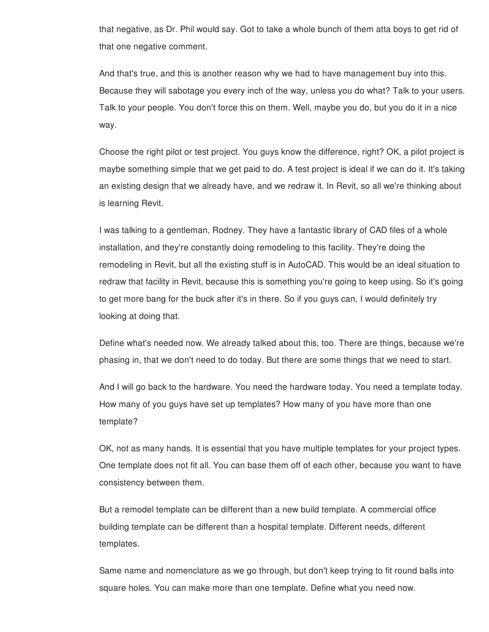that negative, as Dr. Phil would say. Got to take a whole bunch of them atta boys to get rid of that one negative comment.

And that's true, and this is another reason why we had to have management buy into this. Because they will sabotage you every inch of the way, unless you do what? Talk to your users. Talk to your people. You don't force this on them. Well, maybe you do, but you do it in a nice way.

Choose the right pilot or test project. You guys know the difference, right? OK, a pilot project is maybe something simple that we get paid to do. A test project is ideal if we can do it. It's taking an existing design that we already have, and we redraw it. In Revit, so all we're thinking about is learning Revit.

I was talking to a gentleman, Rodney. They have a fantastic library of CAD files of a whole installation, and they're constantly doing remodeling to this facility. They're doing the remodeling in Revit, but all the existing stuff is in AutoCAD. This would be an ideal situation to redraw that facility in Revit, because this is something you're going to keep using. So it's going to get more bang for the buck after it's in there. So if you guys can, I would definitely try looking at doing that.

Define what's needed now. We already talked about this, too. There are things, because we're phasing in, that we don't need to do today. But there are some things that we need to start.

And I will go back to the hardware. You need the hardware today. You need a template today. How many of you guys have set up templates? How many of you have more than one template?

OK, not as many hands. It is essential that you have multiple templates for your project types. One template does not fit all. You can base them off of each other, because you want to have consistency between them.

But a remodel template can be different than a new build template. A commercial office building template can be different than a hospital template. Different needs, different templates.

Same name and nomenclature as we go through, but don't keep trying to fit round balls into square holes. You can make more than one template. Define what you need now.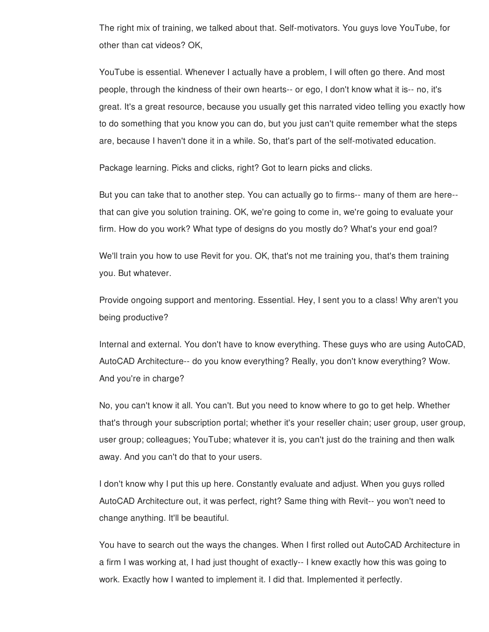The right mix of training, we talked about that. Self-motivators. You guys love YouTube, for other than cat videos? OK,

YouTube is essential. Whenever I actually have a problem, I will often go there. And most people, through the kindness of their own hearts-- or ego, I don't know what it is-- no, it's great. It's a great resource, because you usually get this narrated video telling you exactly how to do something that you know you can do, but you just can't quite remember what the steps are, because I haven't done it in a while. So, that's part of the self-motivated education.

Package learning. Picks and clicks, right? Got to learn picks and clicks.

But you can take that to another step. You can actually go to firms-- many of them are here- that can give you solution training. OK, we're going to come in, we're going to evaluate your firm. How do you work? What type of designs do you mostly do? What's your end goal?

We'll train you how to use Revit for you. OK, that's not me training you, that's them training you. But whatever.

Provide ongoing support and mentoring. Essential. Hey, I sent you to a class! Why aren't you being productive?

Internal and external. You don't have to know everything. These guys who are using AutoCAD, AutoCAD Architecture-- do you know everything? Really, you don't know everything? Wow. And you're in charge?

No, you can't know it all. You can't. But you need to know where to go to get help. Whether that's through your subscription portal; whether it's your reseller chain; user group, user group, user group; colleagues; YouTube; whatever it is, you can't just do the training and then walk away. And you can't do that to your users.

I don't know why I put this up here. Constantly evaluate and adjust. When you guys rolled AutoCAD Architecture out, it was perfect, right? Same thing with Revit-- you won't need to change anything. It'll be beautiful.

You have to search out the ways the changes. When I first rolled out AutoCAD Architecture in a firm I was working at, I had just thought of exactly-- I knew exactly how this was going to work. Exactly how I wanted to implement it. I did that. Implemented it perfectly.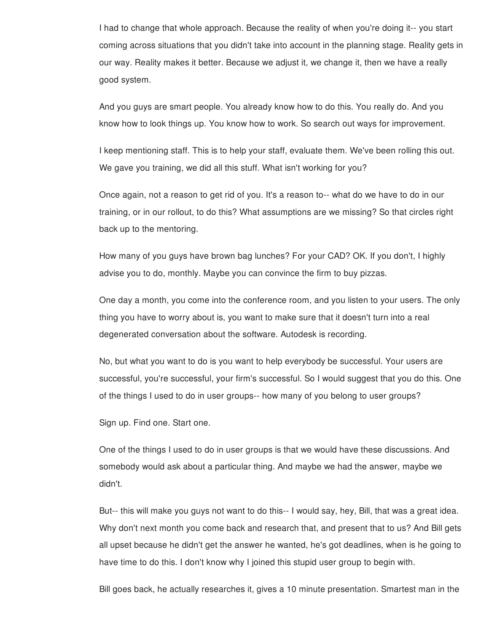I had to change that whole approach. Because the reality of when you're doing it-- you start coming across situations that you didn't take into account in the planning stage. Reality gets in our way. Reality makes it better. Because we adjust it, we change it, then we have a really good system.

And you guys are smart people. You already know how to do this. You really do. And you know how to look things up. You know how to work. So search out ways for improvement.

I keep mentioning staff. This is to help your staff, evaluate them. We've been rolling this out. We gave you training, we did all this stuff. What isn't working for you?

Once again, not a reason to get rid of you. It's a reason to-- what do we have to do in our training, or in our rollout, to do this? What assumptions are we missing? So that circles right back up to the mentoring.

How many of you guys have brown bag lunches? For your CAD? OK. If you don't, I highly advise you to do, monthly. Maybe you can convince the firm to buy pizzas.

One day a month, you come into the conference room, and you listen to your users. The only thing you have to worry about is, you want to make sure that it doesn't turn into a real degenerated conversation about the software. Autodesk is recording.

No, but what you want to do is you want to help everybody be successful. Your users are successful, you're successful, your firm's successful. So I would suggest that you do this. One of the things I used to do in user groups-- how many of you belong to user groups?

Sign up. Find one. Start one.

One of the things I used to do in user groups is that we would have these discussions. And somebody would ask about a particular thing. And maybe we had the answer, maybe we didn't.

But-- this will make you guys not want to do this-- I would say, hey, Bill, that was a great idea. Why don't next month you come back and research that, and present that to us? And Bill gets all upset because he didn't get the answer he wanted, he's got deadlines, when is he going to have time to do this. I don't know why I joined this stupid user group to begin with.

Bill goes back, he actually researches it, gives a 10 minute presentation. Smartest man in the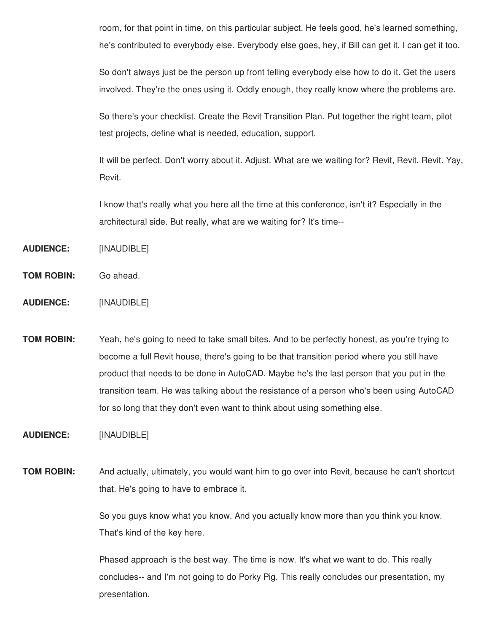room, for that point in time, on this particular subject. He feels good, he's learned something, he's contributed to everybody else. Everybody else goes, hey, if Bill can get it, I can get it too.

So don't always just be the person up front telling everybody else how to do it. Get the users involved. They're the ones using it. Oddly enough, they really know where the problems are.

So there's your checklist. Create the Revit Transition Plan. Put together the right team, pilot test projects, define what is needed, education, support.

It will be perfect. Don't worry about it. Adjust. What are we waiting for? Revit, Revit, Revit. Yay, Revit.

I know that's really what you here all the time at this conference, isn't it? Especially in the architectural side. But really, what are we waiting for? It's time--

- **AUDIENCE:** [INAUDIBLE]
- **TOM ROBIN:** Go ahead.
- **AUDIENCE:** [INAUDIBLE]

**TOM ROBIN:** Yeah, he's going to need to take small bites. And to be perfectly honest, as you're trying to become a full Revit house, there's going to be that transition period where you still have product that needs to be done in AutoCAD. Maybe he's the last person that you put in the transition team. He was talking about the resistance of a person who's been using AutoCAD for so long that they don't even want to think about using something else.

**AUDIENCE:** [INAUDIBLE]

**TOM ROBIN:** And actually, ultimately, you would want him to go over into Revit, because he can't shortcut that. He's going to have to embrace it.

> So you guys know what you know. And you actually know more than you think you know. That's kind of the key here.

> Phased approach is the best way. The time is now. It's what we want to do. This really concludes-- and I'm not going to do Porky Pig. This really concludes our presentation, my presentation.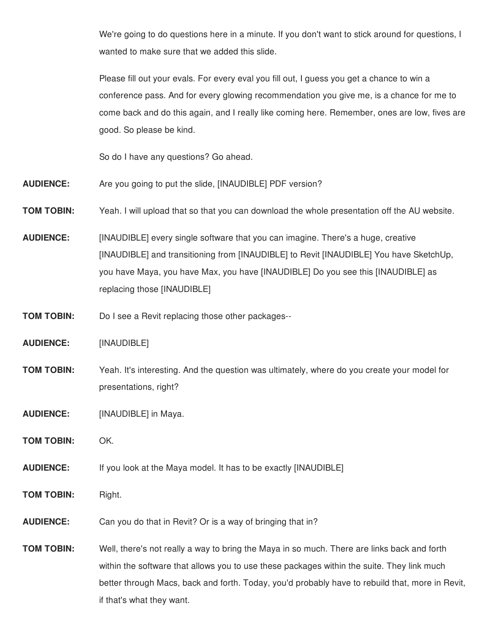We're going to do questions here in a minute. If you don't want to stick around for questions, I wanted to make sure that we added this slide.

Please fill out your evals. For every eval you fill out, I guess you get a chance to win a conference pass. And for every glowing recommendation you give me, is a chance for me to come back and do this again, and I really like coming here. Remember, ones are low, fives are good. So please be kind.

So do I have any questions? Go ahead.

- **AUDIENCE:** Are you going to put the slide, [INAUDIBLE] PDF version?
- **TOM TOBIN:** Yeah. I will upload that so that you can download the whole presentation off the AU website.
- **AUDIENCE:** [INAUDIBLE] every single software that you can imagine. There's a huge, creative [INAUDIBLE] and transitioning from [INAUDIBLE] to Revit [INAUDIBLE] You have SketchUp, you have Maya, you have Max, you have [INAUDIBLE] Do you see this [INAUDIBLE] as replacing those [INAUDIBLE]
- **TOM TOBIN:** Do I see a Revit replacing those other packages--
- **AUDIENCE:** [INAUDIBLE]
- **TOM TOBIN:** Yeah. It's interesting. And the question was ultimately, where do you create your model for presentations, right?
- **AUDIENCE:** [INAUDIBLE] in Maya.
- **TOM TOBIN:** OK.
- **AUDIENCE:** If you look at the Maya model. It has to be exactly [INAUDIBLE]
- **TOM TOBIN:** Right.
- **AUDIENCE:** Can you do that in Revit? Or is a way of bringing that in?
- **TOM TOBIN:** Well, there's not really a way to bring the Maya in so much. There are links back and forth within the software that allows you to use these packages within the suite. They link much better through Macs, back and forth. Today, you'd probably have to rebuild that, more in Revit, if that's what they want.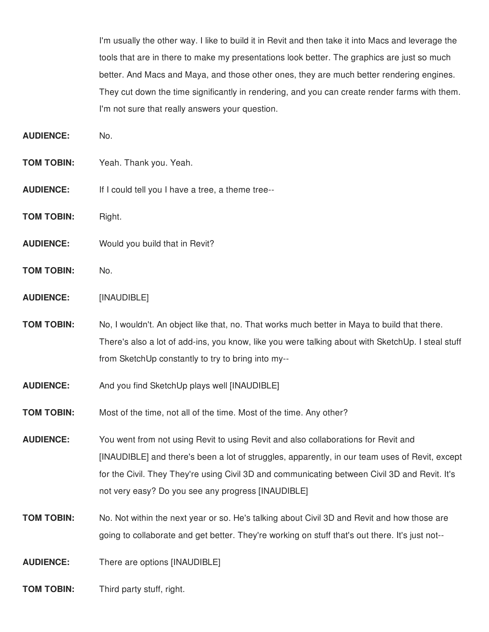I'm usually the other way. I like to build it in Revit and then take it into Macs and leverage the tools that are in there to make my presentations look better. The graphics are just so much better. And Macs and Maya, and those other ones, they are much better rendering engines. They cut down the time significantly in rendering, and you can create render farms with them. I'm not sure that really answers your question.

**AUDIENCE:** No.

- **TOM TOBIN:** Yeah. Thank you. Yeah.
- **AUDIENCE:** If I could tell you I have a tree, a theme tree--
- **TOM TOBIN:** Right.
- **AUDIENCE:** Would you build that in Revit?
- **TOM TOBIN:** No.
- **AUDIENCE:** [INAUDIBLE]
- **TOM TOBIN:** No, I wouldn't. An object like that, no. That works much better in Maya to build that there. There's also a lot of add-ins, you know, like you were talking about with SketchUp. I steal stuff from SketchUp constantly to try to bring into my--
- **AUDIENCE:** And you find SketchUp plays well [INAUDIBLE]
- **TOM TOBIN:** Most of the time, not all of the time. Most of the time. Any other?

**AUDIENCE:** You went from not using Revit to using Revit and also collaborations for Revit and [INAUDIBLE] and there's been a lot of struggles, apparently, in our team uses of Revit, except for the Civil. They They're using Civil 3D and communicating between Civil 3D and Revit. It's not very easy? Do you see any progress [INAUDIBLE]

**TOM TOBIN:** No. Not within the next year or so. He's talking about Civil 3D and Revit and how those are going to collaborate and get better. They're working on stuff that's out there. It's just not--

**AUDIENCE:** There are options [INAUDIBLE]

**TOM TOBIN:** Third party stuff, right.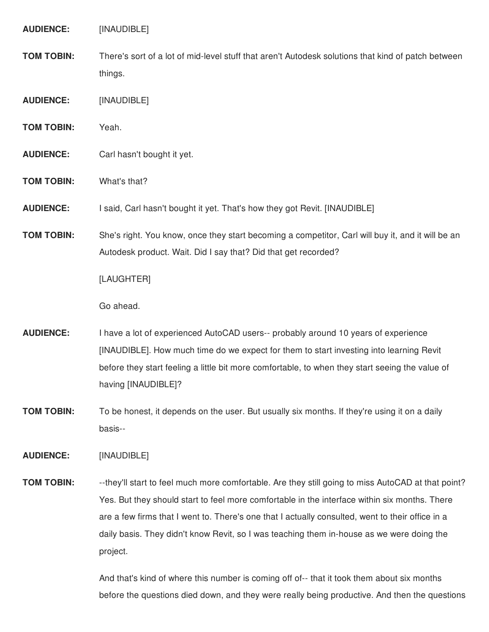**AUDIENCE:** [INAUDIBLE]

- **TOM TOBIN:** There's sort of a lot of mid-level stuff that aren't Autodesk solutions that kind of patch between things.
- **AUDIENCE:** [INAUDIBLE]
- **TOM TOBIN:** Yeah.
- **AUDIENCE:** Carl hasn't bought it yet.
- **TOM TOBIN:** What's that?
- **AUDIENCE:** I said, Carl hasn't bought it yet. That's how they got Revit. [INAUDIBLE]
- **TOM TOBIN:** She's right. You know, once they start becoming a competitor, Carl will buy it, and it will be an Autodesk product. Wait. Did I say that? Did that get recorded?

[LAUGHTER]

Go ahead.

- **AUDIENCE:** I have a lot of experienced AutoCAD users-- probably around 10 years of experience [INAUDIBLE]. How much time do we expect for them to start investing into learning Revit before they start feeling a little bit more comfortable, to when they start seeing the value of having [INAUDIBLE]?
- **TOM TOBIN:** To be honest, it depends on the user. But usually six months. If they're using it on a daily basis--

**AUDIENCE:** [INAUDIBLE]

**TOM TOBIN:** --they'll start to feel much more comfortable. Are they still going to miss AutoCAD at that point? Yes. But they should start to feel more comfortable in the interface within six months. There are a few firms that I went to. There's one that I actually consulted, went to their office in a daily basis. They didn't know Revit, so I was teaching them in-house as we were doing the project.

> And that's kind of where this number is coming off of-- that it took them about six months before the questions died down, and they were really being productive. And then the questions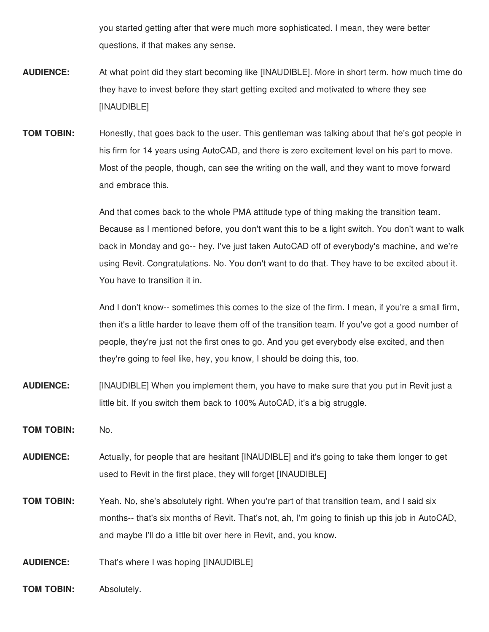you started getting after that were much more sophisticated. I mean, they were better questions, if that makes any sense.

- **AUDIENCE:** At what point did they start becoming like [INAUDIBLE]. More in short term, how much time do they have to invest before they start getting excited and motivated to where they see [INAUDIBLE]
- **TOM TOBIN:** Honestly, that goes back to the user. This gentleman was talking about that he's got people in his firm for 14 years using AutoCAD, and there is zero excitement level on his part to move. Most of the people, though, can see the writing on the wall, and they want to move forward and embrace this.

And that comes back to the whole PMA attitude type of thing making the transition team. Because as I mentioned before, you don't want this to be a light switch. You don't want to walk back in Monday and go-- hey, I've just taken AutoCAD off of everybody's machine, and we're using Revit. Congratulations. No. You don't want to do that. They have to be excited about it. You have to transition it in.

And I don't know-- sometimes this comes to the size of the firm. I mean, if you're a small firm, then it's a little harder to leave them off of the transition team. If you've got a good number of people, they're just not the first ones to go. And you get everybody else excited, and then they're going to feel like, hey, you know, I should be doing this, too.

- **AUDIENCE:** [INAUDIBLE] When you implement them, you have to make sure that you put in Revit just a little bit. If you switch them back to 100% AutoCAD, it's a big struggle.
- **TOM TOBIN:** No.
- **AUDIENCE:** Actually, for people that are hesitant [INAUDIBLE] and it's going to take them longer to get used to Revit in the first place, they will forget [INAUDIBLE]
- **TOM TOBIN:** Yeah. No, she's absolutely right. When you're part of that transition team, and I said six months-- that's six months of Revit. That's not, ah, I'm going to finish up this job in AutoCAD, and maybe I'll do a little bit over here in Revit, and, you know.

**AUDIENCE:** That's where I was hoping [INAUDIBLE]

**TOM TOBIN:** Absolutely.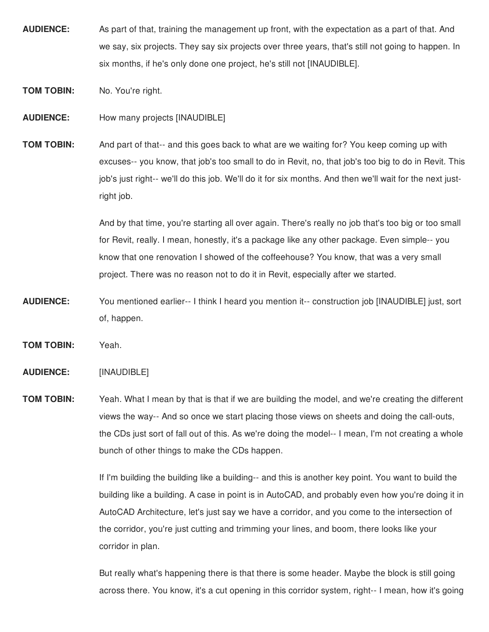- **AUDIENCE:** As part of that, training the management up front, with the expectation as a part of that. And we say, six projects. They say six projects over three years, that's still not going to happen. In six months, if he's only done one project, he's still not [INAUDIBLE].
- **TOM TOBIN:** No. You're right.

**AUDIENCE:** How many projects [INAUDIBLE]

**TOM TOBIN:** And part of that-- and this goes back to what are we waiting for? You keep coming up with excuses-- you know, that job's too small to do in Revit, no, that job's too big to do in Revit. This job's just right-- we'll do this job. We'll do it for six months. And then we'll wait for the next justright job.

> And by that time, you're starting all over again. There's really no job that's too big or too small for Revit, really. I mean, honestly, it's a package like any other package. Even simple-- you know that one renovation I showed of the coffeehouse? You know, that was a very small project. There was no reason not to do it in Revit, especially after we started.

- **AUDIENCE:** You mentioned earlier-- I think I heard you mention it-- construction job [INAUDIBLE] just, sort of, happen.
- **TOM TOBIN:** Yeah.

**AUDIENCE:** [INAUDIBLE]

**TOM TOBIN:** Yeah. What I mean by that is that if we are building the model, and we're creating the different views the way-- And so once we start placing those views on sheets and doing the call-outs, the CDs just sort of fall out of this. As we're doing the model-- I mean, I'm not creating a whole bunch of other things to make the CDs happen.

> If I'm building the building like a building-- and this is another key point. You want to build the building like a building. A case in point is in AutoCAD, and probably even how you're doing it in AutoCAD Architecture, let's just say we have a corridor, and you come to the intersection of the corridor, you're just cutting and trimming your lines, and boom, there looks like your corridor in plan.

> But really what's happening there is that there is some header. Maybe the block is still going across there. You know, it's a cut opening in this corridor system, right-- I mean, how it's going